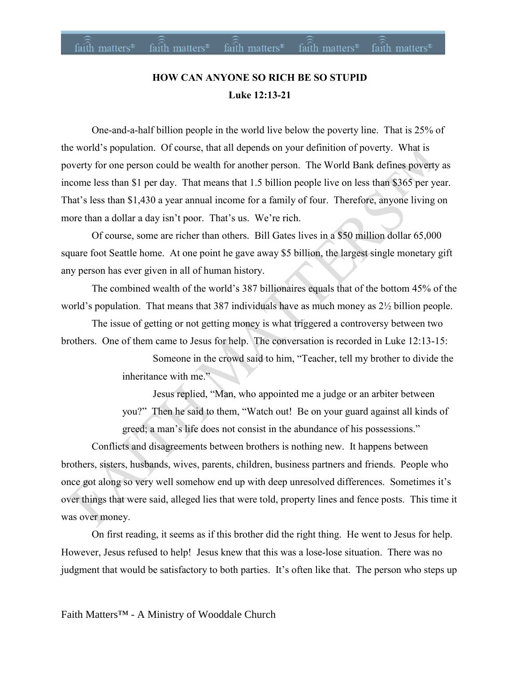# **HOW CAN ANYONE SO RICH BE SO STUPID Luke 12:13-21**

One-and-a-half billion people in the world live below the poverty line. That is 25% of the world's population. Of course, that all depends on your definition of poverty. What is poverty for one person could be wealth for another person. The World Bank defines poverty as income less than \$1 per day. That means that 1.5 billion people live on less than \$365 per year. That's less than \$1,430 a year annual income for a family of four. Therefore, anyone living on more than a dollar a day isn't poor. That's us. We're rich.

Of course, some are richer than others. Bill Gates lives in a \$50 million dollar 65,000 square foot Seattle home. At one point he gave away \$5 billion, the largest single monetary gift any person has ever given in all of human history.

The combined wealth of the world's 387 billionaires equals that of the bottom 45% of the world's population. That means that 387 individuals have as much money as 2½ billion people.

The issue of getting or not getting money is what triggered a controversy between two brothers. One of them came to Jesus for help. The conversation is recorded in Luke 12:13-15:

> Someone in the crowd said to him, "Teacher, tell my brother to divide the inheritance with me."

Jesus replied, "Man, who appointed me a judge or an arbiter between you?" Then he said to them, "Watch out! Be on your guard against all kinds of greed; a man's life does not consist in the abundance of his possessions."

Conflicts and disagreements between brothers is nothing new. It happens between brothers, sisters, husbands, wives, parents, children, business partners and friends. People who once got along so very well somehow end up with deep unresolved differences. Sometimes it's over things that were said, alleged lies that were told, property lines and fence posts. This time it was over money.

On first reading, it seems as if this brother did the right thing. He went to Jesus for help. However, Jesus refused to help! Jesus knew that this was a lose-lose situation. There was no judgment that would be satisfactory to both parties. It's often like that. The person who steps up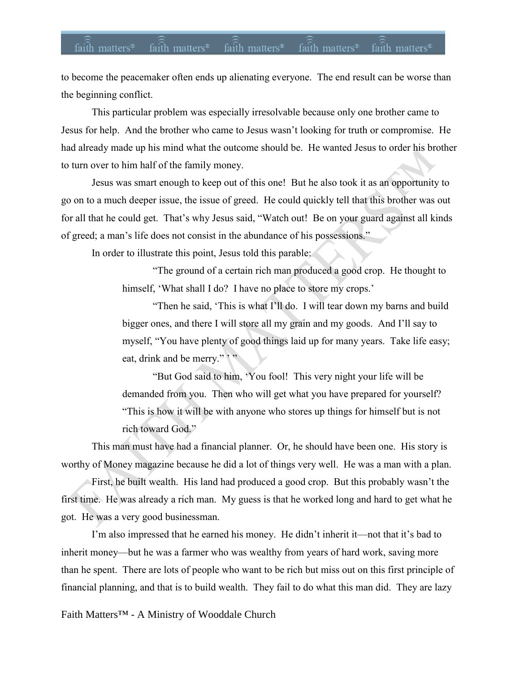### faith matters<sup>®</sup> faith matters<sup>®</sup>  $faith$  matters<sup>®</sup> faith matters<sup>®</sup> faith matters<sup>®</sup>

to become the peacemaker often ends up alienating everyone. The end result can be worse than the beginning conflict.

This particular problem was especially irresolvable because only one brother came to Jesus for help. And the brother who came to Jesus wasn't looking for truth or compromise. He had already made up his mind what the outcome should be. He wanted Jesus to order his brother to turn over to him half of the family money.

Jesus was smart enough to keep out of this one! But he also took it as an opportunity to go on to a much deeper issue, the issue of greed. He could quickly tell that this brother was out for all that he could get. That's why Jesus said, "Watch out! Be on your guard against all kinds of greed; a man's life does not consist in the abundance of his possessions."

In order to illustrate this point, Jesus told this parable:

"The ground of a certain rich man produced a good crop. He thought to himself, 'What shall I do? I have no place to store my crops.'

"Then he said, 'This is what I'll do. I will tear down my barns and build bigger ones, and there I will store all my grain and my goods. And I'll say to myself, "You have plenty of good things laid up for many years. Take life easy; eat, drink and be merry." '"

"But God said to him, 'You fool! This very night your life will be demanded from you. Then who will get what you have prepared for yourself? "This is how it will be with anyone who stores up things for himself but is not rich toward God."

This man must have had a financial planner. Or, he should have been one. His story is worthy of Money magazine because he did a lot of things very well. He was a man with a plan.

First, he built wealth. His land had produced a good crop. But this probably wasn't the first time. He was already a rich man. My guess is that he worked long and hard to get what he got. He was a very good businessman.

I'm also impressed that he earned his money. He didn't inherit it—not that it's bad to inherit money—but he was a farmer who was wealthy from years of hard work, saving more than he spent. There are lots of people who want to be rich but miss out on this first principle of financial planning, and that is to build wealth. They fail to do what this man did. They are lazy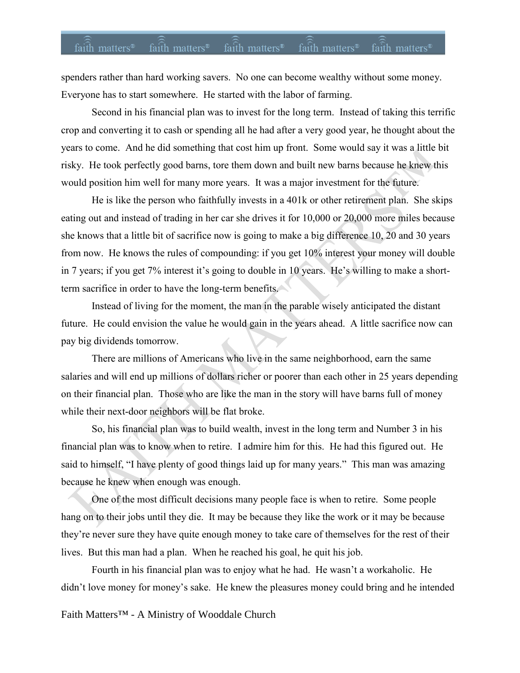## $faith$  matters<sup>®</sup>  $faith$  matters<sup>®</sup>  $fa$ ith matters<sup>®</sup> faith matters<sup>®</sup> faith matters<sup>®</sup>

spenders rather than hard working savers. No one can become wealthy without some money. Everyone has to start somewhere. He started with the labor of farming.

Second in his financial plan was to invest for the long term. Instead of taking this terrific crop and converting it to cash or spending all he had after a very good year, he thought about the years to come. And he did something that cost him up front. Some would say it was a little bit risky. He took perfectly good barns, tore them down and built new barns because he knew this would position him well for many more years. It was a major investment for the future.

He is like the person who faithfully invests in a 401k or other retirement plan. She skips eating out and instead of trading in her car she drives it for 10,000 or 20,000 more miles because she knows that a little bit of sacrifice now is going to make a big difference 10, 20 and 30 years from now. He knows the rules of compounding: if you get 10% interest your money will double in 7 years; if you get 7% interest it's going to double in 10 years. He's willing to make a shortterm sacrifice in order to have the long-term benefits.

Instead of living for the moment, the man in the parable wisely anticipated the distant future. He could envision the value he would gain in the years ahead. A little sacrifice now can pay big dividends tomorrow.

There are millions of Americans who live in the same neighborhood, earn the same salaries and will end up millions of dollars richer or poorer than each other in 25 years depending on their financial plan. Those who are like the man in the story will have barns full of money while their next-door neighbors will be flat broke.

So, his financial plan was to build wealth, invest in the long term and Number 3 in his financial plan was to know when to retire. I admire him for this. He had this figured out. He said to himself, "I have plenty of good things laid up for many years." This man was amazing because he knew when enough was enough.

One of the most difficult decisions many people face is when to retire. Some people hang on to their jobs until they die. It may be because they like the work or it may be because they're never sure they have quite enough money to take care of themselves for the rest of their lives. But this man had a plan. When he reached his goal, he quit his job.

Fourth in his financial plan was to enjoy what he had. He wasn't a workaholic. He didn't love money for money's sake. He knew the pleasures money could bring and he intended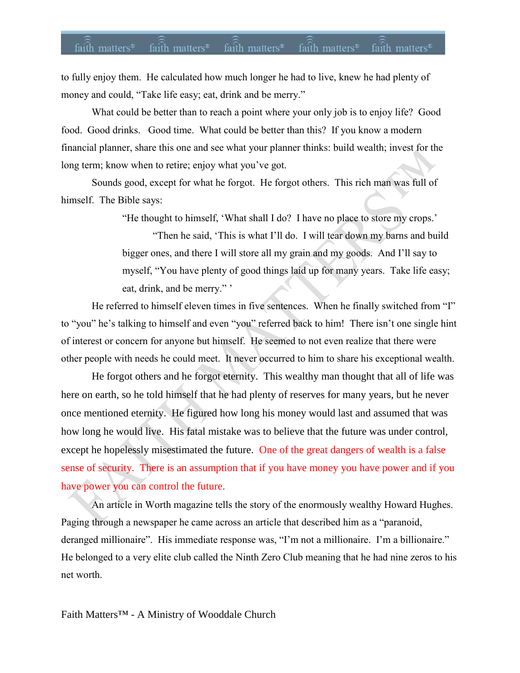### faith matters<sup>®</sup> faith matters<sup>®</sup> faith matters<sup>®</sup> faith matters<sup>®</sup> faith matters<sup>®</sup>

to fully enjoy them. He calculated how much longer he had to live, knew he had plenty of money and could, "Take life easy; eat, drink and be merry."

What could be better than to reach a point where your only job is to enjoy life? Good food. Good drinks. Good time. What could be better than this? If you know a modern financial planner, share this one and see what your planner thinks: build wealth; invest for the long term; know when to retire; enjoy what you've got.

Sounds good, except for what he forgot. He forgot others. This rich man was full of himself. The Bible says:

"He thought to himself, 'What shall I do? I have no place to store my crops.'

"Then he said, 'This is what I'll do. I will tear down my barns and build bigger ones, and there I will store all my grain and my goods. And I'll say to myself, "You have plenty of good things laid up for many years. Take life easy; eat, drink, and be merry."

He referred to himself eleven times in five sentences. When he finally switched from "I" to "you" he's talking to himself and even "you" referred back to him! There isn't one single hint of interest or concern for anyone but himself. He seemed to not even realize that there were other people with needs he could meet. It never occurred to him to share his exceptional wealth.

He forgot others and he forgot eternity. This wealthy man thought that all of life was here on earth, so he told himself that he had plenty of reserves for many years, but he never once mentioned eternity. He figured how long his money would last and assumed that was how long he would live. His fatal mistake was to believe that the future was under control, except he hopelessly misestimated the future. One of the great dangers of wealth is a false sense of security. There is an assumption that if you have money you have power and if you have power you can control the future.

An article in Worth magazine tells the story of the enormously wealthy Howard Hughes. Paging through a newspaper he came across an article that described him as a "paranoid, deranged millionaire". His immediate response was, "I'm not a millionaire. I'm a billionaire." He belonged to a very elite club called the Ninth Zero Club meaning that he had nine zeros to his net worth.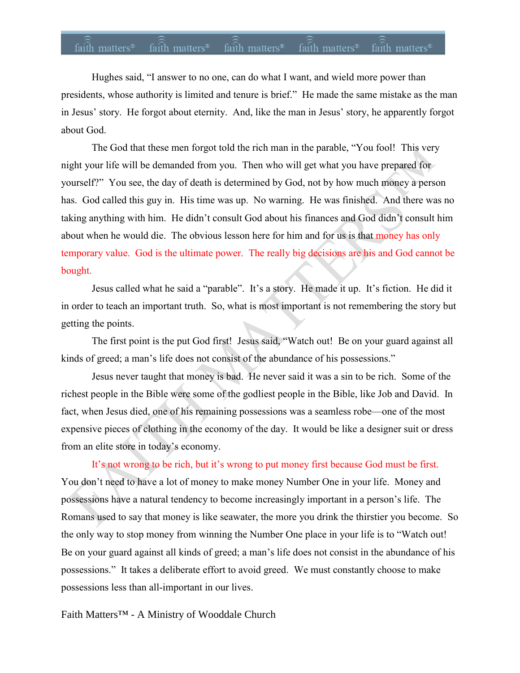Hughes said, "I answer to no one, can do what I want, and wield more power than presidents, whose authority is limited and tenure is brief." He made the same mistake as the man in Jesus' story. He forgot about eternity. And, like the man in Jesus' story, he apparently forgot about God.

The God that these men forgot told the rich man in the parable, "You fool! This very night your life will be demanded from you. Then who will get what you have prepared for yourself?" You see, the day of death is determined by God, not by how much money a person has. God called this guy in. His time was up. No warning. He was finished. And there was no taking anything with him. He didn't consult God about his finances and God didn't consult him about when he would die. The obvious lesson here for him and for us is that money has only temporary value. God is the ultimate power. The really big decisions are his and God cannot be bought.

Jesus called what he said a "parable". It's a story. He made it up. It's fiction. He did it in order to teach an important truth. So, what is most important is not remembering the story but getting the points.

The first point is the put God first! Jesus said, "Watch out! Be on your guard against all kinds of greed; a man's life does not consist of the abundance of his possessions."

Jesus never taught that money is bad. He never said it was a sin to be rich. Some of the richest people in the Bible were some of the godliest people in the Bible, like Job and David. In fact, when Jesus died, one of his remaining possessions was a seamless robe—one of the most expensive pieces of clothing in the economy of the day. It would be like a designer suit or dress from an elite store in today's economy.

It's not wrong to be rich, but it's wrong to put money first because God must be first. You don't need to have a lot of money to make money Number One in your life. Money and possessions have a natural tendency to become increasingly important in a person's life. The Romans used to say that money is like seawater, the more you drink the thirstier you become. So the only way to stop money from winning the Number One place in your life is to "Watch out! Be on your guard against all kinds of greed; a man's life does not consist in the abundance of his possessions." It takes a deliberate effort to avoid greed. We must constantly choose to make possessions less than all-important in our lives.